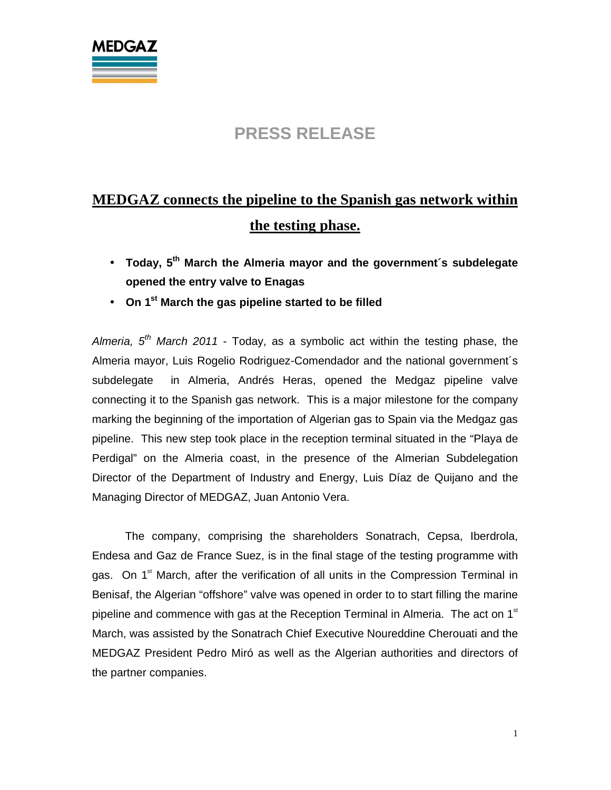

#### **PRESS RELEASE**

# **MEDGAZ connects the pipeline to the Spanish gas network within the testing phase.**

- **Today, 5th March the Almeria mayor and the government´s subdelegate opened the entry valve to Enagas**
- **On 1st March the gas pipeline started to be filled**

Almeria,  $5<sup>th</sup>$  March 2011 - Today, as a symbolic act within the testing phase, the Almeria mayor, Luis Rogelio Rodriguez-Comendador and the national government´s subdelegate in Almeria, Andrés Heras, opened the Medgaz pipeline valve connecting it to the Spanish gas network. This is a major milestone for the company marking the beginning of the importation of Algerian gas to Spain via the Medgaz gas pipeline. This new step took place in the reception terminal situated in the "Playa de Perdigal" on the Almeria coast, in the presence of the Almerian Subdelegation Director of the Department of Industry and Energy, Luis Díaz de Quijano and the Managing Director of MEDGAZ, Juan Antonio Vera.

The company, comprising the shareholders Sonatrach, Cepsa, Iberdrola, Endesa and Gaz de France Suez, is in the final stage of the testing programme with gas. On  $1<sup>st</sup>$  March, after the verification of all units in the Compression Terminal in Benisaf, the Algerian "offshore" valve was opened in order to to start filling the marine pipeline and commence with gas at the Reception Terminal in Almeria. The act on 1<sup>st</sup> March, was assisted by the Sonatrach Chief Executive Noureddine Cherouati and the MEDGAZ President Pedro Miró as well as the Algerian authorities and directors of the partner companies.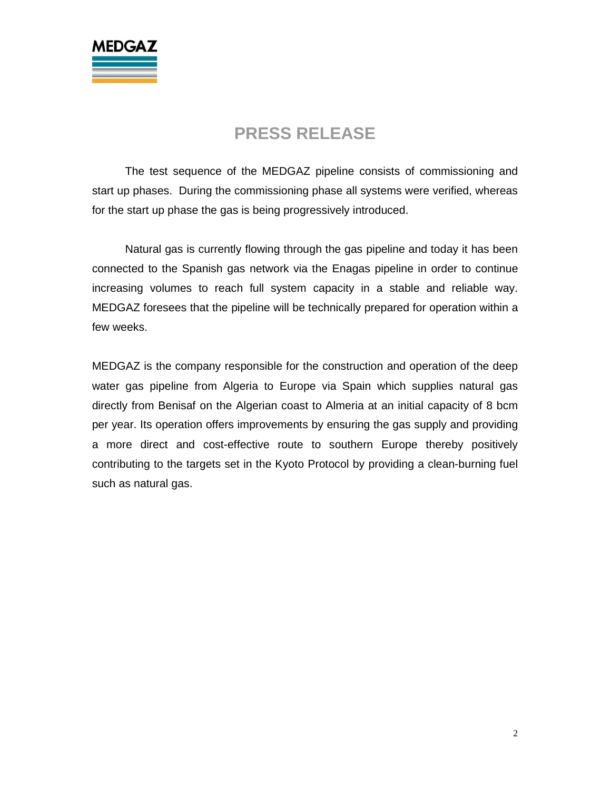

### **PRESS RELEASE**

 The test sequence of the MEDGAZ pipeline consists of commissioning and start up phases. During the commissioning phase all systems were verified, whereas for the start up phase the gas is being progressively introduced.

 Natural gas is currently flowing through the gas pipeline and today it has been connected to the Spanish gas network via the Enagas pipeline in order to continue increasing volumes to reach full system capacity in a stable and reliable way. MEDGAZ foresees that the pipeline will be technically prepared for operation within a few weeks.

MEDGAZ is the company responsible for the construction and operation of the deep water gas pipeline from Algeria to Europe via Spain which supplies natural gas directly from Benisaf on the Algerian coast to Almeria at an initial capacity of 8 bcm per year. Its operation offers improvements by ensuring the gas supply and providing a more direct and cost-effective route to southern Europe thereby positively contributing to the targets set in the Kyoto Protocol by providing a clean-burning fuel such as natural gas.